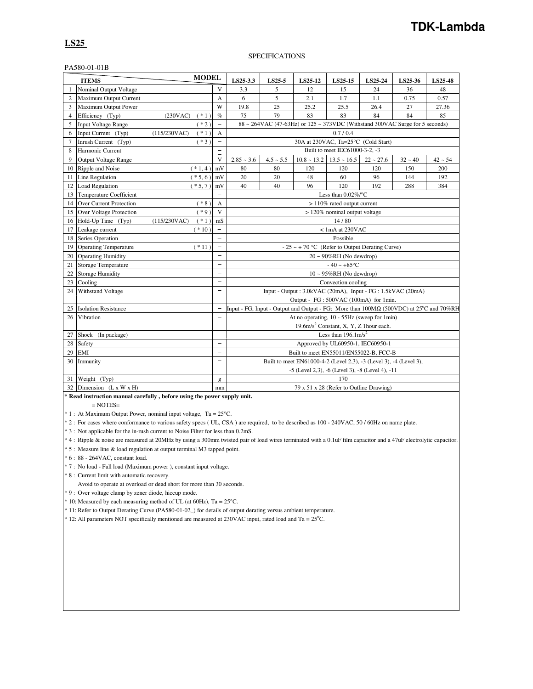## **TDK-Lambda**

### **LS25**

#### SPECIFICATIONS

#### PA580-01-01B

| <b>MODEL</b><br><b>ITEMS</b> |                                |                         | LS25-3.3                 | LS25-5                                                                       | LS25-12        | LS25-15                                                                                                    | LS25-24                                            | LS25-36     | LS25-48   |           |
|------------------------------|--------------------------------|-------------------------|--------------------------|------------------------------------------------------------------------------|----------------|------------------------------------------------------------------------------------------------------------|----------------------------------------------------|-------------|-----------|-----------|
| 1                            | Nominal Output Voltage         |                         | V                        | 3.3                                                                          | 5              | 12                                                                                                         | 15                                                 | 24          | 36        | 48        |
| $\overline{c}$               | Maximum Output Current         |                         | A                        | 6                                                                            | 5              | 2.1                                                                                                        | 1.7                                                | 1.1         | 0.75      | 0.57      |
| 3                            | Maximum Output Power           |                         | W                        | 19.8                                                                         | 25             | 25.2                                                                                                       | 25.5                                               | 26.4        | 27        | 27.36     |
| $\overline{4}$               | Efficiency (Typ)               | (230VAC)<br>$(* 1)$     | $\%$                     | 75                                                                           | 79             | 83                                                                                                         | 83                                                 | 84          | 84        | 85        |
| 5                            | <b>Input Voltage Range</b>     | $(*2)$                  | $\overline{\phantom{0}}$ | 88 ~ 264VAC (47-63Hz) or 125 ~ 373VDC (Withstand 300VAC Surge for 5 seconds) |                |                                                                                                            |                                                    |             |           |           |
| 6                            | Input Current (Typ)            | (115/230VAC)<br>$*1)$   | A                        | 0.7/0.4                                                                      |                |                                                                                                            |                                                    |             |           |           |
| $\tau$                       | Inrush Current (Typ)           | $*3)$                   | $\qquad \qquad -$        | 30A at 230VAC, Ta=25°C (Cold Start)                                          |                |                                                                                                            |                                                    |             |           |           |
| 8                            | Harmonic Current               |                         | $\overline{a}$           | Built to meet IEC61000-3-2, -3                                               |                |                                                                                                            |                                                    |             |           |           |
| 9                            | <b>Output Voltage Range</b>    |                         | V                        | $2.85 - 3.6$                                                                 | $4.5 \sim 5.5$ |                                                                                                            | $10.8 \sim 13.2$ 13.5 $\sim 16.5$                  | $22 - 27.6$ | $32 - 40$ | $42 - 54$ |
| 10                           | Ripple and Noise               | $(*1,4)$                | mV                       | 80                                                                           | 80             | 120                                                                                                        | 120                                                | 120         | 150       | 200       |
| 11                           | Line Regulation                | $(* 5, 6)$              | mV                       | 20                                                                           | 20             | 48                                                                                                         | 60                                                 | 96          | 144       | 192       |
| 12                           | Load Regulation                | $(* 5, 7)$              | mV                       | 40                                                                           | 40             | 96                                                                                                         | 120                                                | 192         | 288       | 384       |
| 13                           | <b>Temperature Coefficient</b> |                         | $\equiv$                 |                                                                              |                |                                                                                                            | Less than $0.02\%$ /°C                             |             |           |           |
| 14                           | <b>Over Current Protection</b> | $(* 8)$                 | A                        |                                                                              |                |                                                                                                            | $>110\%$ rated output current                      |             |           |           |
| 15                           | <b>Over Voltage Protection</b> | $(*9)$                  | $\mathbf{V}$             |                                                                              |                |                                                                                                            | $>120\%$ nominal output voltage                    |             |           |           |
| 16                           | Hold-Up Time (Typ)             | $(* 1)$<br>(115/230VAC) | mS                       | 14/80                                                                        |                |                                                                                                            |                                                    |             |           |           |
| 17                           | Leakage current                | $*10)$                  | ÷                        | < 1mA at 230VAC                                                              |                |                                                                                                            |                                                    |             |           |           |
| 18                           | <b>Series Operation</b>        |                         | $\overline{\phantom{0}}$ | Possible                                                                     |                |                                                                                                            |                                                    |             |           |           |
| 19                           | <b>Operating Temperature</b>   | $(* 11)$                | $\equiv$                 | - 25 ~ + 70 °C (Refer to Output Derating Curve)                              |                |                                                                                                            |                                                    |             |           |           |
| 20                           | <b>Operating Humidity</b>      |                         | $\overline{\phantom{0}}$ |                                                                              |                |                                                                                                            | $20 \sim 90\% RH$ (No dewdrop)                     |             |           |           |
| 21                           | <b>Storage Temperature</b>     |                         | $\equiv$                 |                                                                              |                |                                                                                                            | $-40 - +85$ °C                                     |             |           |           |
| 22                           | <b>Storage Humidity</b>        |                         | $\overline{\phantom{0}}$ |                                                                              |                |                                                                                                            | $10 \sim 95\% RH$ (No dewdrop)                     |             |           |           |
| 23                           | Cooling                        |                         | $\overline{\phantom{0}}$ |                                                                              |                |                                                                                                            | Convection cooling                                 |             |           |           |
| 24                           | Withstand Voltage              |                         | $\overline{\phantom{0}}$ |                                                                              |                | Input - Output : 3.0kVAC (20mA), Input - FG : 1.5kVAC (20mA)                                               |                                                    |             |           |           |
|                              |                                |                         |                          |                                                                              |                | Output - FG: 500VAC (100mA) for 1min.                                                                      |                                                    |             |           |           |
| 25                           | <b>Isolation Resistance</b>    |                         | $\qquad \qquad -$        |                                                                              |                | Input - FG, Input - Output and Output - FG: More than $100M\Omega$ (500VDC) at 25 <sup>o</sup> C and 70%RH |                                                    |             |           |           |
| 26                           | Vibration                      |                         | -                        |                                                                              |                | At no operating, 10 - 55Hz (sweep for 1min)                                                                |                                                    |             |           |           |
|                              |                                |                         |                          |                                                                              |                |                                                                                                            | 19.6m/s <sup>2</sup> Constant, X, Y, Z 1hour each. |             |           |           |
| 27                           | Shock (In package)             |                         |                          |                                                                              |                |                                                                                                            | Less than $196.1 \text{m/s}^2$                     |             |           |           |
| 28                           | Safety                         |                         | $\qquad \qquad -$        |                                                                              |                |                                                                                                            | Approved by UL60950-1, IEC60950-1                  |             |           |           |
| 29                           | EMI                            |                         | $\equiv$                 |                                                                              |                | Built to meet EN55011/EN55022-B, FCC-B                                                                     |                                                    |             |           |           |
| 30                           | Immunity                       |                         | $\qquad \qquad -$        |                                                                              |                | Built to meet EN61000-4-2 (Level 2,3), -3 (Level 3), -4 (Level 3),                                         |                                                    |             |           |           |
|                              |                                |                         |                          |                                                                              |                | -5 (Level 2,3), -6 (Level 3), -8 (Level 4), -11                                                            |                                                    |             |           |           |
| 31                           | Weight (Typ)                   |                         | g                        |                                                                              |                |                                                                                                            | 170                                                |             |           |           |
|                              | 32 Dimension (L x W x H)       |                         | mm                       |                                                                              |                |                                                                                                            | 79 x 51 x 28 (Refer to Outline Drawing)            |             |           |           |

**\* Read instruction manual carefully , before using the power supply unit.**  $=$  NOTES $=$ 

\* 1 : At Maximum Output Power, nominal input voltage, Ta = 25°C.

\* 2 : For cases where conformance to various safety specs ( UL, CSA ) are required, to be described as 100 - 240VAC, 50 / 60Hz on name plate.

\* 3 : Not applicable for the in-rush current to Noise Filter for less than 0.2mS.

\* 4 : Ripple & noise are measured at 20MHz by using a 300mm twisted pair of load wires terminated with a 0.1uF film capacitor and a 47uF electrolytic capacitor.

\* 5 : Measure line & load regulation at output terminal M3 tapped point.

\* 6 : 88 - 264VAC, constant load.

\* 7 : No load - Full load (Maximum power ), constant input voltage.

\* 8 : Current limit with automatic recovery.

Avoid to operate at overload or dead short for more than 30 seconds.

\* 9 : Over voltage clamp by zener diode, hiccup mode.

\* 10: Measured by each measuring method of UL (at 60Hz), Ta = 25°C.

\* 11: Refer to Output Derating Curve (PA580-01-02\_) for details of output derating versus ambient temperature.

 $*$  12: All parameters NOT specifically mentioned are measured at 230VAC input, rated load and Ta =  $25^{\circ}$ C.